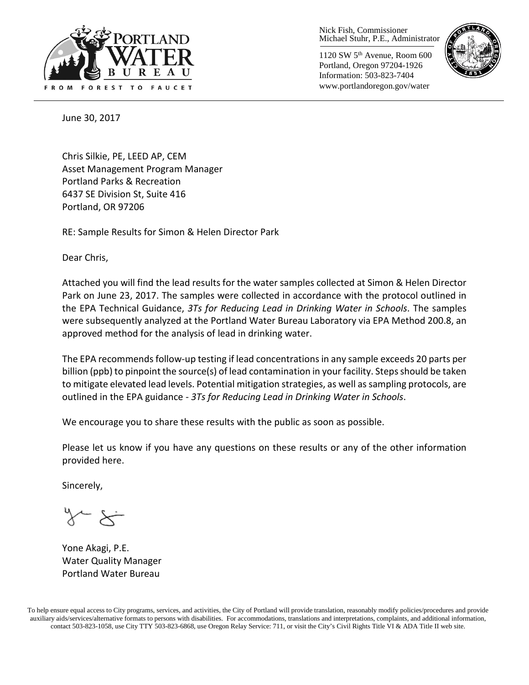

Nick Fish, Commissioner Michael Stuhr, P.E., Administrator

1120 SW 5th Avenue, Room 600 Portland, Oregon 97204-1926 Information: 503-823-7404 www.portlandoregon.gov/water



June 30, 2017

Chris Silkie, PE, LEED AP, CEM Asset Management Program Manager Portland Parks & Recreation 6437 SE Division St, Suite 416 Portland, OR 97206

RE: Sample Results for Simon & Helen Director Park

Dear Chris,

Attached you will find the lead results for the water samples collected at Simon & Helen Director Park on June 23, 2017. The samples were collected in accordance with the protocol outlined in the EPA Technical Guidance, *3Ts for Reducing Lead in Drinking Water in Schools*. The samples were subsequently analyzed at the Portland Water Bureau Laboratory via EPA Method 200.8, an approved method for the analysis of lead in drinking water.

The EPA recommends follow-up testing if lead concentrations in any sample exceeds 20 parts per billion (ppb) to pinpoint the source(s) of lead contamination in your facility. Steps should be taken to mitigate elevated lead levels. Potential mitigation strategies, as well as sampling protocols, are outlined in the EPA guidance - *3Ts for Reducing Lead in Drinking Water in Schools*.

We encourage you to share these results with the public as soon as possible.

Please let us know if you have any questions on these results or any of the other information provided here.

Sincerely,

Yone Akagi, P.E. Water Quality Manager Portland Water Bureau

To help ensure equal access to City programs, services, and activities, the City of Portland will provide translation, reasonably modify policies/procedures and provide auxiliary aids/services/alternative formats to persons with disabilities. For accommodations, translations and interpretations, complaints, and additional information, contact 503-823-1058, use City TTY 503-823-6868, use Oregon Relay Service: 711, or visi[t the City's Civil Rights Title VI & ADA Title II web site.](http://www.portlandoregon.gov/oehr/66458)